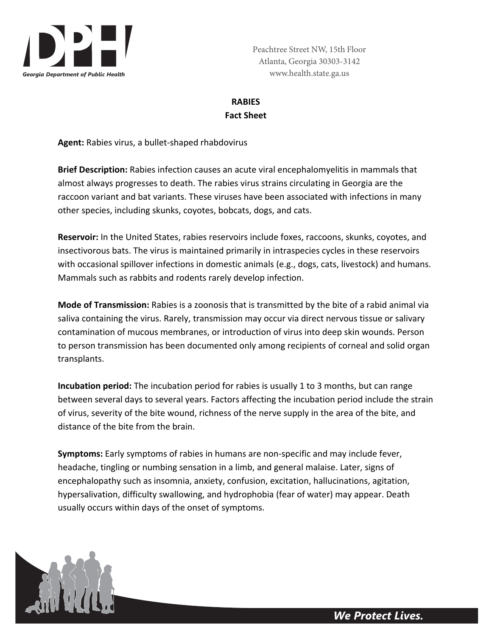

# **RABIES Fact Sheet**

**Agent:** Rabies virus, a bullet‐shaped rhabdovirus

**Brief Description:** Rabies infection causes an acute viral encephalomyelitis in mammals that almost always progresses to death. The rabies virus strains circulating in Georgia are the raccoon variant and bat variants. These viruses have been associated with infections in many other species, including skunks, coyotes, bobcats, dogs, and cats.

**Reservoir:** In the United States, rabies reservoirs include foxes, raccoons, skunks, coyotes, and insectivorous bats. The virus is maintained primarily in intraspecies cycles in these reservoirs with occasional spillover infections in domestic animals (e.g., dogs, cats, livestock) and humans. Mammals such as rabbits and rodents rarely develop infection.

**Mode of Transmission:** Rabies is a zoonosis that is transmitted by the bite of a rabid animal via saliva containing the virus. Rarely, transmission may occur via direct nervous tissue or salivary contamination of mucous membranes, or introduction of virus into deep skin wounds. Person to person transmission has been documented only among recipients of corneal and solid organ transplants.

**Incubation period:** The incubation period for rabies is usually 1 to 3 months, but can range between several days to several years. Factors affecting the incubation period include the strain of virus, severity of the bite wound, richness of the nerve supply in the area of the bite, and distance of the bite from the brain.

**Symptoms:** Early symptoms of rabies in humans are non‐specific and may include fever, headache, tingling or numbing sensation in a limb, and general malaise. Later, signs of encephalopathy such as insomnia, anxiety, confusion, excitation, hallucinations, agitation, hypersalivation, difficulty swallowing, and hydrophobia (fear of water) may appear. Death usually occurs within days of the onset of symptoms.

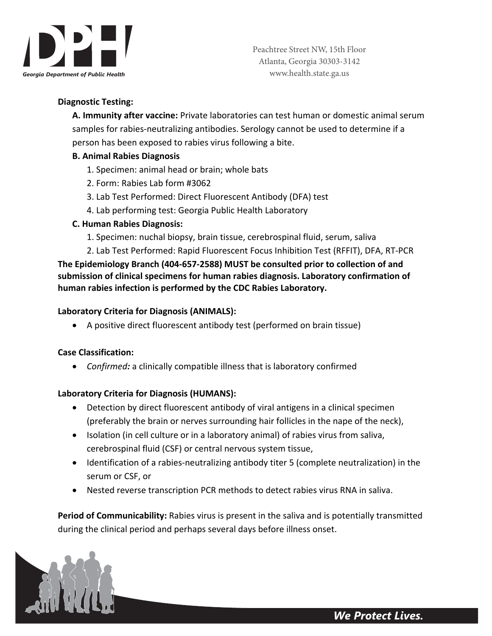

## **Diagnostic Testing:**

**A. Immunity after vaccine:** Private laboratories can test human or domestic animal serum samples for rabies‐neutralizing antibodies. Serology cannot be used to determine if a person has been exposed to rabies virus following a bite.

#### **B. Animal Rabies Diagnosis**

- 1. Specimen: animal head or brain; whole bats
- 2. Form: Rabies Lab form #3062
- 3. Lab Test Performed: Direct Fluorescent Antibody (DFA) test
- 4. Lab performing test: Georgia Public Health Laboratory

#### **C. Human Rabies Diagnosis:**

- 1. Specimen: nuchal biopsy, brain tissue, cerebrospinal fluid, serum, saliva
- 2. Lab Test Performed: Rapid Fluorescent Focus Inhibition Test (RFFIT), DFA, RT‐PCR

**The Epidemiology Branch (404‐657‐2588) MUST be consulted prior to collection of and submission of clinical specimens for human rabies diagnosis. Laboratory confirmation of human rabies infection is performed by the CDC Rabies Laboratory.**

#### **Laboratory Criteria for Diagnosis (ANIMALS):**

A positive direct fluorescent antibody test (performed on brain tissue)

#### **Case Classification:**

*Confirmed:* a clinically compatible illness that is laboratory confirmed

## **Laboratory Criteria for Diagnosis (HUMANS):**

- Detection by direct fluorescent antibody of viral antigens in a clinical specimen (preferably the brain or nerves surrounding hair follicles in the nape of the neck),
- Isolation (in cell culture or in a laboratory animal) of rabies virus from saliva, cerebrospinal fluid (CSF) or central nervous system tissue,
- Identification of a rabies-neutralizing antibody titer 5 (complete neutralization) in the serum or CSF, or
- Nested reverse transcription PCR methods to detect rabies virus RNA in saliva.

**Period of Communicability:** Rabies virus is present in the saliva and is potentially transmitted during the clinical period and perhaps several days before illness onset.

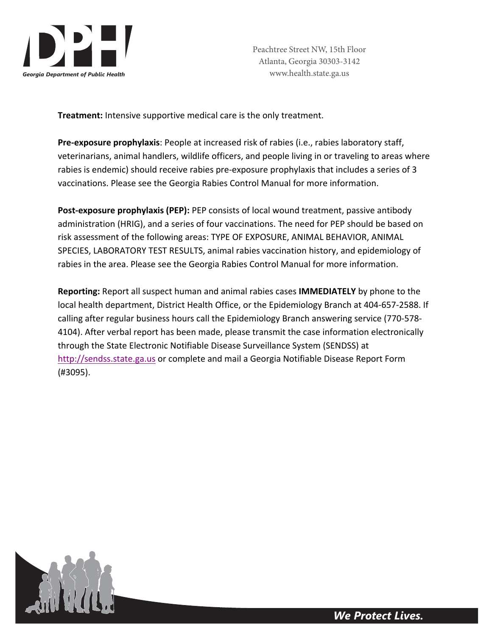

**Treatment:** Intensive supportive medical care is the only treatment.

**Pre‐exposure prophylaxis**: People at increased risk of rabies (i.e., rabies laboratory staff, veterinarians, animal handlers, wildlife officers, and people living in or traveling to areas where rabies is endemic) should receive rabies pre-exposure prophylaxis that includes a series of 3 vaccinations. Please see the Georgia Rabies Control Manual for more information.

**Post‐exposure prophylaxis (PEP):** PEP consists of local wound treatment, passive antibody administration (HRIG), and a series of four vaccinations. The need for PEP should be based on risk assessment of the following areas: TYPE OF EXPOSURE, ANIMAL BEHAVIOR, ANIMAL SPECIES, LABORATORY TEST RESULTS, animal rabies vaccination history, and epidemiology of rabies in the area. Please see the Georgia Rabies Control Manual for more information.

**Reporting:** Report all suspect human and animal rabies cases **IMMEDIATELY** by phone to the local health department, District Health Office, or the Epidemiology Branch at 404‐657‐2588. If calling after regular business hours call the Epidemiology Branch answering service (770‐578‐ 4104). After verbal report has been made, please transmit the case information electronically through the State Electronic Notifiable Disease Surveillance System (SENDSS) at http://sendss.state.ga.us or complete and mail a Georgia Notifiable Disease Report Form (#3095).